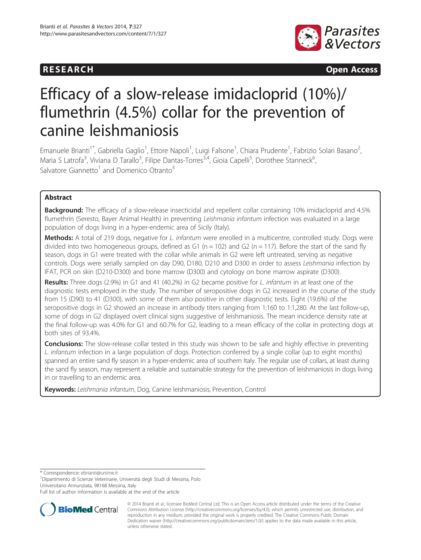# **RESEARCH RESEARCH CONSUMING ACCESS**



# Efficacy of a slow-release imidacloprid (10%)/ flumethrin (4.5%) collar for the prevention of canine leishmaniosis

Emanuele Brianti<sup>1\*</sup>, Gabriella Gaglio<sup>1</sup>, Ettore Napoli<sup>1</sup>, Luigi Falsone<sup>1</sup>, Chiara Prudente<sup>1</sup>, Fabrizio Solari Basano<sup>2</sup> .<br>, Maria S Latrofa<sup>3</sup>, Viviana D Tarallo<sup>3</sup>, Filipe Dantas-Torres<sup>3,4</sup>, Gioia Capelli<sup>5</sup>, Dorothee Stanneck<sup>6</sup> , Salvatore Giannetto<sup>1</sup> and Domenico Otranto<sup>3</sup>

# Abstract

Background: The efficacy of a slow-release insecticidal and repellent collar containing 10% imidacloprid and 4.5% flumethrin (Seresto, Bayer Animal Health) in preventing Leishmania infantum infection was evaluated in a large population of dogs living in a hyper-endemic area of Sicily (Italy).

Methods: A total of 219 dogs, negative for L. infantum were enrolled in a multicentre, controlled study. Dogs were divided into two homogeneous groups, defined as G1 (n = 102) and G2 (n = 117). Before the start of the sand fly season, dogs in G1 were treated with the collar while animals in G2 were left untreated, serving as negative controls. Dogs were serially sampled on day D90, D180, D210 and D300 in order to assess Leishmania infection by IFAT, PCR on skin (D210-D300) and bone marrow (D300) and cytology on bone marrow aspirate (D300).

Results: Three dogs (2.9%) in G1 and 41 (40.2%) in G2 became positive for L. infantum in at least one of the diagnostic tests employed in the study. The number of seropositive dogs in G2 increased in the course of the study from 15 (D90) to 41 (D300), with some of them also positive in other diagnostic tests. Eight (19.6%) of the seropositive dogs in G2 showed an increase in antibody titers ranging from 1:160 to 1:1,280. At the last follow-up, some of dogs in G2 displayed overt clinical signs suggestive of leishmaniosis. The mean incidence density rate at the final follow-up was 4.0% for G1 and 60.7% for G2, leading to a mean efficacy of the collar in protecting dogs at both sites of 93.4%.

**Conclusions:** The slow-release collar tested in this study was shown to be safe and highly effective in preventing L. infantum infection in a large population of dogs. Protection conferred by a single collar (up to eight months) spanned an entire sand fly season in a hyper-endemic area of southern Italy. The regular use of collars, at least during the sand fly season, may represent a reliable and sustainable strategy for the prevention of leishmaniosis in dogs living in or travelling to an endemic area.

Keywords: Leishmania infantum, Dog, Canine leishmaniosis, Prevention, Control

\* Correspondence: [ebrianti@unime.it](mailto:ebrianti@unime.it) <sup>1</sup>

<sup>1</sup> Dipartimento di Scienze Veterinarie, Università degli Studi di Messina, Polo Universitario Annunziata, 98168 Messina, Italy

Full list of author information is available at the end of the article



<sup>© 2014</sup> Brianti et al.; licensee BioMed Central Ltd. This is an Open Access article distributed under the terms of the Creative Commons Attribution License [\(http://creativecommons.org/licenses/by/4.0\)](http://creativecommons.org/licenses/by/4.0), which permits unrestricted use, distribution, and reproduction in any medium, provided the original work is properly credited. The Creative Commons Public Domain Dedication waiver [\(http://creativecommons.org/publicdomain/zero/1.0/](http://creativecommons.org/publicdomain/zero/1.0/)) applies to the data made available in this article, unless otherwise stated.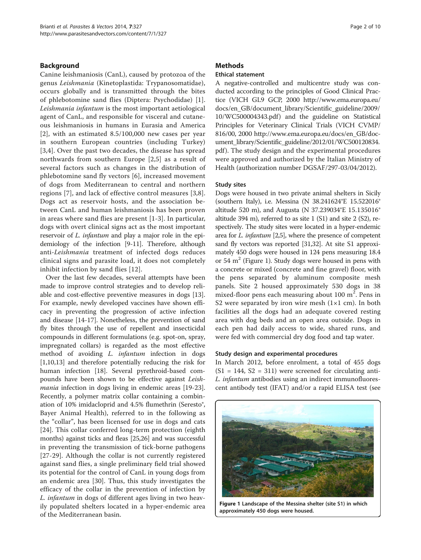# Background

Canine leishmaniosis (CanL), caused by protozoa of the genus Leishmania (Kinetoplastida: Trypanosomatidae), occurs globally and is transmitted through the bites of phlebotomine sand flies (Diptera: Psychodidae) [[1](#page-8-0)]. Leishmania infantum is the most important aetiological agent of CanL, and responsible for visceral and cutaneous leishmaniosis in humans in Eurasia and America [[2](#page-8-0)], with an estimated 8.5/100,000 new cases per year in southern European countries (including Turkey) [[3,4](#page-8-0)]. Over the past two decades, the disease has spread northwards from southern Europe [[2,5](#page-8-0)] as a result of several factors such as changes in the distribution of phlebotomine sand fly vectors [[6\]](#page-8-0), increased movement of dogs from Mediterranean to central and northern regions [[7\]](#page-8-0), and lack of effective control measures [[3,8](#page-8-0)]. Dogs act as reservoir hosts, and the association between CanL and human leishmaniosis has been proven in areas where sand flies are present [\[1-3](#page-8-0)]. In particular, dogs with overt clinical signs act as the most important reservoir of L. infantum and play a major role in the epidemiology of the infection [\[9](#page-8-0)-[11](#page-8-0)]. Therefore, although anti-Leishmania treatment of infected dogs reduces clinical signs and parasite load, it does not completely inhibit infection by sand flies [[12\]](#page-8-0).

Over the last few decades, several attempts have been made to improve control strategies and to develop reliable and cost-effective preventive measures in dogs [\[13](#page-8-0)]. For example, newly developed vaccines have shown efficacy in preventing the progression of active infection and disease [\[14-17](#page-8-0)]. Nonetheless, the prevention of sand fly bites through the use of repellent and insecticidal compounds in different formulations (e.g. spot-on, spray, impregnated collars) is regarded as the most effective method of avoiding L. infantum infection in dogs [[1,10,13\]](#page-8-0) and therefore potentially reducing the risk for human infection [\[18\]](#page-8-0). Several pyrethroid-based compounds have been shown to be effective against Leishmania infection in dogs living in endemic areas [\[19-23](#page-8-0)]. Recently, a polymer matrix collar containing a combination of 10% imidacloprid and 4.5% flumethrin (Seresto®, Bayer Animal Health), referred to in the following as the "collar", has been licensed for use in dogs and cats [[24\]](#page-8-0). This collar conferred long-term protection (eighth months) against ticks and fleas [\[25,26\]](#page-8-0) and was successful in preventing the transmission of tick-borne pathogens [[27](#page-8-0)-[29\]](#page-9-0). Although the collar is not currently registered against sand flies, a single preliminary field trial showed its potential for the control of CanL in young dogs from an endemic area [[30\]](#page-9-0). Thus, this study investigates the efficacy of the collar in the prevention of infection by L. infantum in dogs of different ages living in two heavily populated shelters located in a hyper-endemic area of the Mediterranean basin.

#### **Methods**

### Ethical statement

A negative-controlled and multicentre study was conducted according to the principles of Good Clinical Practice (VICH GL9 GCP, 2000 [http://www.ema.europa.eu/](http://www.ema.europa.eu/docs/en_GB/document_library/Scientific_guideline/2009/10/WC500004343.pdf) [docs/en\\_GB/document\\_library/Scientific\\_guideline/2009/](http://www.ema.europa.eu/docs/en_GB/document_library/Scientific_guideline/2009/10/WC500004343.pdf) [10/WC500004343.pdf](http://www.ema.europa.eu/docs/en_GB/document_library/Scientific_guideline/2009/10/WC500004343.pdf)) and the guideline on Statistical Principles for Veterinary Clinical Trials (VICH CVMP/ 816/00, 2000 [http://www.ema.europa.eu/docs/en\\_GB/doc](http://www.ema.europa.eu/docs/en_GB/document_library/Scientific_guideline/2012/01/WC500120834.pdf)[ument\\_library/Scientific\\_guideline/2012/01/WC500120834.](http://www.ema.europa.eu/docs/en_GB/document_library/Scientific_guideline/2012/01/WC500120834.pdf) [pdf](http://www.ema.europa.eu/docs/en_GB/document_library/Scientific_guideline/2012/01/WC500120834.pdf)). The study design and the experimental procedures were approved and authorized by the Italian Ministry of Health (authorization number DGSAF/297-03/04/2012).

#### Study sites

Dogs were housed in two private animal shelters in Sicily (southern Italy), i.e. Messina (N 38.241624°E 15.522016° altitude 520 m), and Augusta (N 37.239034°E 15.135016° altitude 394 m), referred to as site 1 (S1) and site 2 (S2), respectively. The study sites were located in a hyper-endemic area for L. infantum [\[2,5](#page-8-0)], where the presence of competent sand fly vectors was reported [\[31,32](#page-9-0)]. At site S1 approximately 450 dogs were housed in 124 pens measuring 18.4 or 54  $m<sup>2</sup>$  (Figure 1). Study dogs were housed in pens with a concrete or mixed (concrete and fine gravel) floor, with the pens separated by aluminum composite mesh panels. Site 2 housed approximately 530 dogs in 38 mixed-floor pens each measuring about  $100 \text{ m}^2$ . Pens in S2 were separated by iron wire mesh  $(1\times1$  cm). In both facilities all the dogs had an adequate covered resting area with dog beds and an open area outside. Dogs in each pen had daily access to wide, shared runs, and were fed with commercial dry dog food and tap water.

#### Study design and experimental procedures

In March 2012, before enrolment, a total of 455 dogs  $(S1 = 144, S2 = 311)$  were screened for circulating anti-L. infantum antibodies using an indirect immunofluorescent antibody test (IFAT) and/or a rapid ELISA test (see



Figure 1 Landscape of the Messina shelter (site S1) in which approximately 450 dogs were housed.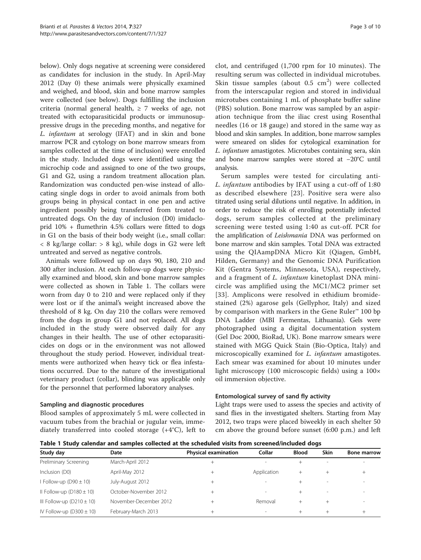below). Only dogs negative at screening were considered as candidates for inclusion in the study. In April-May 2012 (Day 0) these animals were physically examined and weighed, and blood, skin and bone marrow samples were collected (see below). Dogs fulfilling the inclusion criteria (normal general health,  $\geq$  7 weeks of age, not treated with ectoparasiticidal products or immunosuppressive drugs in the preceding months, and negative for L. infantum at serology (IFAT) and in skin and bone marrow PCR and cytology on bone marrow smears from samples collected at the time of inclusion) were enrolled in the study. Included dogs were identified using the microchip code and assigned to one of the two groups, G1 and G2, using a random treatment allocation plan. Randomization was conducted pen-wise instead of allocating single dogs in order to avoid animals from both groups being in physical contact in one pen and active ingredient possibly being transferred from treated to untreated dogs. On the day of inclusion (D0) imidacloprid 10% + flumethrin 4.5% collars were fitted to dogs in G1 on the basis of their body weight (i.e., small collar:  $\langle 8 \text{ kg/large}$  collar:  $> 8 \text{ kg}$ , while dogs in G2 were left untreated and served as negative controls.

Animals were followed up on days 90, 180, 210 and 300 after inclusion. At each follow-up dogs were physically examined and blood, skin and bone marrow samples were collected as shown in Table 1. The collars were worn from day 0 to 210 and were replaced only if they were lost or if the animal's weight increased above the threshold of 8 kg. On day 210 the collars were removed from the dogs in group G1 and not replaced. All dogs included in the study were observed daily for any changes in their health. The use of other ectoparasiticides on dogs or in the environment was not allowed throughout the study period. However, individual treatments were authorized when heavy tick or flea infestations occurred. Due to the nature of the investigational veterinary product (collar), blinding was applicable only for the personnel that performed laboratory analyses.

# Sampling and diagnostic procedures

Blood samples of approximately 5 mL were collected in vacuum tubes from the brachial or jugular vein, immediately transferred into cooled storage (+4°C), left to

clot, and centrifuged (1,700 rpm for 10 minutes). The resulting serum was collected in individual microtubes. Skin tissue samples (about  $0.5 \text{ cm}^2$ ) were collected from the interscapular region and stored in individual microtubes containing 1 mL of phosphate buffer saline (PBS) solution. Bone marrow was sampled by an aspiration technique from the iliac crest using Rosenthal needles (16 or 18 gauge) and stored in the same way as blood and skin samples. In addition, bone marrow samples were smeared on slides for cytological examination for L. infantum amastigotes. Microtubes containing sera, skin and bone marrow samples were stored at −20°C until analysis.

Serum samples were tested for circulating anti-L. infantum antibodies by IFAT using a cut-off of 1:80 as described elsewhere [[23](#page-8-0)]. Positive sera were also titrated using serial dilutions until negative. In addition, in order to reduce the risk of enrolling potentially infected dogs, serum samples collected at the preliminary screening were tested using 1:40 as cut-off. PCR for the amplification of Leishmania DNA was performed on bone marrow and skin samples. Total DNA was extracted using the QIAampDNA Micro Kit (Qiagen, GmbH, Hilden, Germany) and the Genomic DNA Purification Kit (Gentra Systems, Minnesota, USA), respectively, and a fragment of *L. infantum* kinetoplast DNA minicircle was amplified using the MC1/MC2 primer set [[33](#page-9-0)]. Amplicons were resolved in ethidium bromidestained (2%) agarose gels (Gellyphor, Italy) and sized by comparison with markers in the Gene Ruler™ 100 bp DNA Ladder (MBI Fermentas, Lithuania). Gels were photographed using a digital documentation system (Gel Doc 2000, BioRad, UK). Bone marrow smears were stained with MGG Quick Stain (Bio-Optica, Italy) and microscopically examined for L. infantum amastigotes. Each smear was examined for about 10 minutes under light microscopy (100 microscopic fields) using a 100× oil immersion objective.

# Entomological survey of sand fly activity

Light traps were used to assess the species and activity of sand flies in the investigated shelters. Starting from May 2012, two traps were placed biweekly in each shelter 50 cm above the ground before sunset (6:00 p.m.) and left

Table 1 Study calendar and samples collected at the scheduled visits from screened/included dogs

| Study day                     | Date                   | <b>Physical examination</b> | Collar                   | <b>Blood</b> | <b>Skin</b>    | <b>Bone marrow</b> |  |
|-------------------------------|------------------------|-----------------------------|--------------------------|--------------|----------------|--------------------|--|
| Preliminary Screening         | March-April 2012       | $^{+}$                      |                          |              | $\overline{a}$ |                    |  |
| Inclusion (D0)                | April-May 2012         | $^{+}$                      | Application              | $^+$         |                | $^+$               |  |
| Follow-up $(D90 \pm 10)$      | July-August 2012       | $^+$                        | -                        |              |                |                    |  |
| Il Follow-up $(D180 \pm 10)$  | October-November 2012  | $^{+}$                      | $\overline{\phantom{a}}$ |              | -              |                    |  |
| III Follow-up $(D210 \pm 10)$ | November-December 2012 | $^{+}$                      | Removal                  |              |                |                    |  |
| IV Follow-up $(D300 \pm 10)$  | February-March 2013    | $^{+}$                      | -                        | $^+$         | $^+$           |                    |  |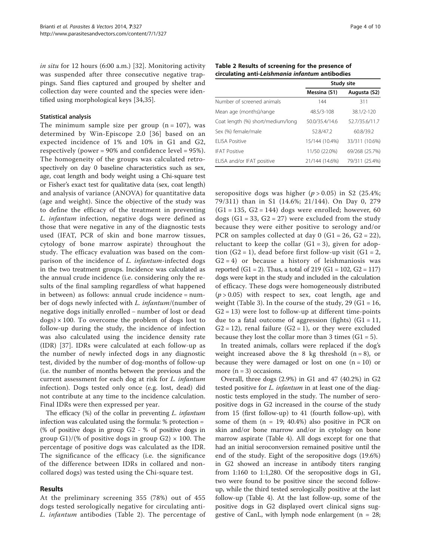in situ for 12 hours (6:00 a.m.) [\[32](#page-9-0)]. Monitoring activity was suspended after three consecutive negative trappings. Sand flies captured and grouped by shelter and collection day were counted and the species were identified using morphological keys [\[34](#page-9-0),[35\]](#page-9-0).

#### Statistical analysis

The minimum sample size per group  $(n = 107)$ , was determined by Win-Episcope 2.0 [[36](#page-9-0)] based on an expected incidence of 1% and 10% in G1 and G2, respectively (power = 90% and confidence level = 95%). The homogeneity of the groups was calculated retrospectively on day 0 baseline characteristics such as sex, age, coat length and body weight using a Chi-square test or Fisher's exact test for qualitative data (sex, coat length) and analysis of variance (ANOVA) for quantitative data (age and weight). Since the objective of the study was to define the efficacy of the treatment in preventing L. infantum infection, negative dogs were defined as those that were negative in any of the diagnostic tests used (IFAT, PCR of skin and bone marrow tissues, cytology of bone marrow aspirate) throughout the study. The efficacy evaluation was based on the comparison of the incidence of L. infantum-infected dogs in the two treatment groups. Incidence was calculated as the annual crude incidence (i.e. considering only the results of the final sampling regardless of what happened in between) as follows: annual crude incidence = number of dogs newly infected with L. infantum/(number of negative dogs initially enrolled – number of lost or dead  $\text{dogs}$ ) × 100. To overcome the problem of dogs lost to follow-up during the study, the incidence of infection was also calculated using the incidence density rate (IDR) [[37\]](#page-9-0). IDRs were calculated at each follow-up as the number of newly infected dogs in any diagnostic test, divided by the number of dog-months of follow-up (i.e. the number of months between the previous and the current assessment for each dog at risk for L. infantum infection). Dogs tested only once (e.g. lost, dead) did not contribute at any time to the incidence calculation. Final IDRs were then expressed per year.

The efficacy (%) of the collar in preventing L. infantum infection was calculated using the formula: % protection = (% of positive dogs in group G2 - % of positive dogs in group G1)/(% of positive dogs in group G2)  $\times$  100. The percentage of positive dogs was calculated as the IDR. The significance of the efficacy (i.e. the significance of the difference between IDRs in collared and noncollared dogs) was tested using the Chi-square test.

# Results

At the preliminary screening 355 (78%) out of 455 dogs tested serologically negative for circulating anti-L. infantum antibodies (Table 2). The percentage of

|                                   | Study site     |                |  |  |
|-----------------------------------|----------------|----------------|--|--|
|                                   | Messina (S1)   | Augusta (S2)   |  |  |
| Number of screened animals        | 144            | 311            |  |  |
| Mean age (months)/range           | 48.5/3-108     | 38.1/2-120     |  |  |
| Coat length (%) short/medium/long | 50.0/35.4/14.6 | 52.7/35.6/11.7 |  |  |
| Sex (%) female/male               | 52.8/47.2      | 60.8/39.2      |  |  |
| FI ISA Positive                   | 15/144 (10.4%) | 33/311 (10.6%) |  |  |
| <b>IFAT Positive</b>              | 11/50 (22.0%)  | 69/268 (25.7%) |  |  |
| ELISA and/or IFAT positive        | 21/144 (14.6%) | 79/311 (25.4%) |  |  |

Table 2 Results of screening for the presence of circulating anti-Leishmania infantum antibodies

seropositive dogs was higher  $(p > 0.05)$  in S2 (25.4%; 79/311) than in S1 (14.6%; 21/144). On Day 0, 279  $(G1 = 135, G2 = 144)$  dogs were enrolled; however, 60 dogs  $(G1 = 33, G2 = 27)$  were excluded from the study because they were either positive to serology and/or PCR on samples collected at day  $0$  (G1 = 26, G2 = 22), reluctant to keep the collar  $(G1 = 3)$ , given for adoption  $(G2 = 1)$ , dead before first follow-up visit  $(G1 = 2)$ ,  $G2 = 4$ ) or because a history of leishmaniosis was reported (G1 = 2). Thus, a total of 219 (G1 = 102, G2 = 117) dogs were kept in the study and included in the calculation of efficacy. These dogs were homogeneously distributed  $(p > 0.05)$  with respect to sex, coat length, age and weight (Table [3\)](#page-4-0). In the course of the study,  $29$  (G1 = 16,  $G2 = 13$ ) were lost to follow-up at different time-points due to a fatal outcome of aggression (fights)  $(G1 = 11,$  $G2 = 12$ ), renal failure  $(G2 = 1)$ , or they were excluded because they lost the collar more than 3 times  $(G1 = 5)$ .

In treated animals, collars were replaced if the dog's weight increased above the 8 kg threshold  $(n = 8)$ , or because they were damaged or lost on one  $(n = 10)$  or more  $(n = 3)$  occasions.

Overall, three dogs (2.9%) in G1 and 47 (40.2%) in G2 tested positive for *L. infantum* in at least one of the diagnostic tests employed in the study. The number of seropositive dogs in G2 increased in the course of the study from 15 (first follow-up) to 41 (fourth follow-up), with some of them  $(n = 19; 40.4%)$  also positive in PCR on skin and/or bone marrow and/or in cytology on bone marrow aspirate (Table [4](#page-5-0)). All dogs except for one that had an initial seroconversion remained positive until the end of the study. Eight of the seropositive dogs (19.6%) in G2 showed an increase in antibody titers ranging from 1:160 to 1:1,280. Of the seropositive dogs in G1, two were found to be positive since the second followup, while the third tested serologically positive at the last follow-up (Table [4\)](#page-5-0). At the last follow-up, some of the positive dogs in G2 displayed overt clinical signs suggestive of CanL, with lymph node enlargement ( $n = 28$ ;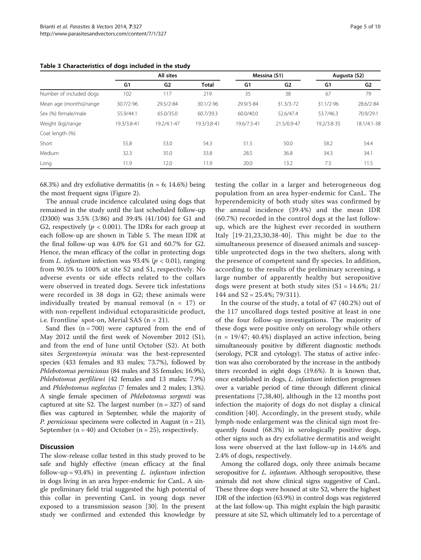|                         | All sites   |                | Messina (S1)  |             | Augusta (S2)  |               |                |
|-------------------------|-------------|----------------|---------------|-------------|---------------|---------------|----------------|
|                         | G1          | G <sub>2</sub> | <b>Total</b>  | G1          | G2            | G1            | G <sub>2</sub> |
| Number of included dogs | 102         | 117            | 219           | 35          | 38            | 67            | 79             |
| Mean age (months)/range | 30.7/2-96   | 29.5/2-84      | $30.1/2 - 96$ | 29.9/3-84   | $31.3/3 - 72$ | $31.1/2 - 96$ | 28.6/2-84      |
| Sex (%) female/male     | 55.9/44.1   | 65.0/35.0      | 60.7/39.3     | 60.0/40.0   | 52.6/47.4     | 53.7/46.3     | 70.9/29.1      |
| Weight (kg)/range       | 19.3/3.8-41 | 19.2/4.1-47    | 19.3/3.8-41   | 19.6/7.5-41 | 21.5/6.9-47   | 19.2/3.8-35   | 18.1/4.1-38    |
| Coat length (%)         |             |                |               |             |               |               |                |
| Short                   | 55.8        | 53.0           | 54.3          | 51.5        | 50.0          | 58.2          | 54.4           |
| Medium                  | 32.3        | 35.0           | 33.8          | 28.5        | 36.8          | 34.3          | 34.1           |
| Long                    | 11.9        | 12.0           | 11.9          | 20.0        | 13.2          | 7.5           | 11.5           |

<span id="page-4-0"></span>Table 3 Characteristics of dogs included in the study

68.3%) and dry exfoliative dermatitis ( $n = 6$ ; 14.6%) being the most frequent signs (Figure [2](#page-7-0)).

The annual crude incidence calculated using dogs that remained in the study until the last scheduled follow-up (D300) was 3.5% (3/86) and 39.4% (41/104) for G1 and G2, respectively ( $p < 0.001$ ). The IDRs for each group at each follow-up are shown in Table [5.](#page-7-0) The mean IDR at the final follow-up was 4.0% for G1 and 60.7% for G2. Hence, the mean efficacy of the collar in protecting dogs from L. infantum infection was 93.4% ( $p < 0.01$ ), ranging from 90.5% to 100% at site S2 and S1, respectively. No adverse events or side effects related to the collars were observed in treated dogs. Severe tick infestations were recorded in 38 dogs in G2; these animals were individually treated by manual removal  $(n = 17)$  or with non-repellent individual ectoparasiticide product, i.e. Frontline spot-on, Merial SAS ( $n = 21$ ).

Sand flies  $(n = 700)$  were captured from the end of May 2012 until the first week of November 2012 (S1), and from the end of June until October (S2). At both sites Sergentomyia minuta was the best-represented species (433 females and 83 males; 73.7%), followed by Phlebotomus perniciosus (84 males and 35 females; 16.9%), Phlebotomus perfiliewi (42 females and 13 males; 7.9%) and Phlebotomus neglectus (7 females and 2 males; 1.3%). A single female specimen of Phlebotomus sergenti was captured at site S2. The largest number  $(n = 327)$  of sand flies was captured in September, while the majority of *P. perniciosus* specimens were collected in August ( $n = 21$ ), September ( $n = 40$ ) and October ( $n = 25$ ), respectively.

#### **Discussion**

The slow-release collar tested in this study proved to be safe and highly effective (mean efficacy at the final follow-up =  $93.4\%$ ) in preventing *L. infantum* infection in dogs living in an area hyper-endemic for CanL. A single preliminary field trial suggested the high potential of this collar in preventing CanL in young dogs never exposed to a transmission season [[30\]](#page-9-0). In the present study we confirmed and extended this knowledge by

testing the collar in a larger and heterogeneous dog population from an area hyper-endemic for CanL. The hyperendemicity of both study sites was confirmed by the annual incidence (39.4%) and the mean IDR (60.7%) recorded in the control dogs at the last followup, which are the highest ever recorded in southern Italy [\[19-21,23](#page-8-0),[30,38](#page-9-0)-[40](#page-9-0)]. This might be due to the simultaneous presence of diseased animals and susceptible unprotected dogs in the two shelters, along with the presence of competent sand fly species. In addition, according to the results of the preliminary screening, a large number of apparently healthy but seropositive dogs were present at both study sites  $(S1 = 14.6\%; 21/$ 144 and S2 = 25.4%; 79/311).

In the course of the study, a total of 47 (40.2%) out of the 117 uncollared dogs tested positive at least in one of the four follow-up investigations. The majority of these dogs were positive only on serology while others  $(n = 19/47; 40.4%)$  displayed an active infection, being simultaneously positive by different diagnostic methods (serology, PCR and cytology). The status of active infection was also corroborated by the increase in the antibody titers recorded in eight dogs (19.6%). It is known that, once established in dogs, L. infantum infection progresses over a variable period of time through different clinical presentations [[7](#page-8-0)[,38](#page-9-0),[40\]](#page-9-0), although in the 12 months post infection the majority of dogs do not display a clinical condition [\[40](#page-9-0)]. Accordingly, in the present study, while lymph-node enlargement was the clinical sign most frequently found (68.3%) in serologically positive dogs, other signs such as dry exfoliative dermatitis and weight loss were observed at the last follow-up in 14.6% and 2.4% of dogs, respectively.

Among the collared dogs, only three animals became seropositive for *L. infantum*. Although seropositive, these animals did not show clinical signs suggestive of CanL. These three dogs were housed at site S2, where the highest IDR of the infection (63.9%) in control dogs was registered at the last follow-up. This might explain the high parasitic pressure at site S2, which ultimately led to a percentage of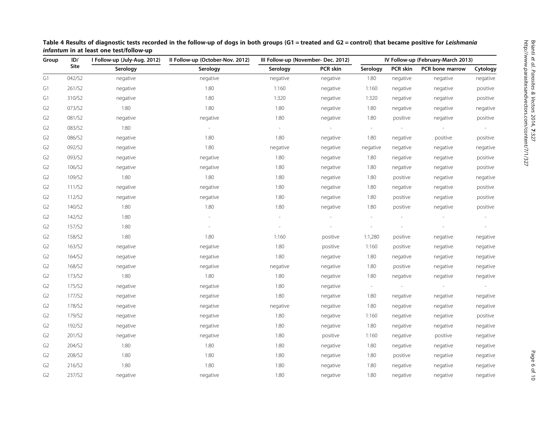| ID/<br>Group   |        | Il Follow-up (October-Nov. 2012)<br>I Follow-up (July-Aug. 2012) |                          | III Follow-up (November- Dec. 2012) |          | IV Follow-up (February-March 2013) |          |                 |                          |
|----------------|--------|------------------------------------------------------------------|--------------------------|-------------------------------------|----------|------------------------------------|----------|-----------------|--------------------------|
|                | Site   | Serology                                                         | Serology                 | Serology                            | PCR skin | Serology                           | PCR skin | PCR bone marrow | Cytology                 |
| G1             | 042/S2 | negative                                                         | negative                 | negative                            | negative | 1:80                               | negative | negative        | negative                 |
| G1             | 261/S2 | negative                                                         | 1:80                     | 1:160                               | negative | 1:160                              | negative | negative        | positive                 |
| G1             | 310/S2 | negative                                                         | 1:80                     | 1:320                               | negative | 1:320                              | negative | negative        | positive                 |
| G2             | 073/S2 | 1:80                                                             | 1:80                     | 1:80                                | negative | 1:80                               | negative | negative        | negative                 |
| G <sub>2</sub> | 081/S2 | negative                                                         | negative                 | 1:80                                | negative | 1:80                               | positive | negative        | positive                 |
| G <sub>2</sub> | 083/S2 | 1:80                                                             |                          | $\overline{\phantom{a}}$            |          | $\overline{\phantom{a}}$           |          |                 | $\overline{\phantom{a}}$ |
| G <sub>2</sub> | 086/S2 | negative                                                         | 1:80                     | 1:80                                | negative | 1:80                               | negative | positive        | positive                 |
| G <sub>2</sub> | 092/S2 | negative                                                         | 1:80                     | negative                            | negative | negative                           | negative | negative        | negative                 |
| G <sub>2</sub> | 093/S2 | negative                                                         | negative                 | 1:80                                | negative | 1:80                               | negative | negative        | positive                 |
| G <sub>2</sub> | 106/S2 | negative                                                         | negative                 | 1:80                                | negative | 1:80                               | negative | negative        | positive                 |
| G <sub>2</sub> | 109/S2 | 1:80                                                             | 1:80                     | 1:80                                | negative | 1:80                               | positive | negative        | negative                 |
| G <sub>2</sub> | 111/S2 | negative                                                         | negative                 | 1:80                                | negative | 1:80                               | negative | negative        | positive                 |
| G2             | 112/S2 | negative                                                         | negative                 | 1:80                                | negative | 1:80                               | positive | negative        | positive                 |
| G <sub>2</sub> | 140/S2 | 1:80                                                             | 1:80                     | 1:80                                | negative | 1:80                               | positive | negative        | positive                 |
| G <sub>2</sub> | 142/S2 | 1:80                                                             |                          |                                     |          |                                    |          |                 |                          |
| G <sub>2</sub> | 157/S2 | 1:80                                                             | $\overline{\phantom{a}}$ | $\frac{1}{2}$                       |          |                                    |          |                 | $\overline{\phantom{a}}$ |
| G <sub>2</sub> | 158/S2 | 1:80                                                             | 1:80                     | 1:160                               | positive | 1:1,280                            | positive | negative        | negative                 |
| G2             | 163/S2 | negative                                                         | negative                 | 1:80                                | positive | 1:160                              | positive | negative        | negative                 |
| G <sub>2</sub> | 164/S2 | negative                                                         | negative                 | 1:80                                | negative | 1:80                               | negative | negative        | negative                 |
| G <sub>2</sub> | 168/S2 | negative                                                         | negative                 | negative                            | negative | 1:80                               | positive | negative        | negative                 |
| G <sub>2</sub> | 173/S2 | 1:80                                                             | 1:80                     | 1:80                                | negative | 1:80                               | negative | negative        | negative                 |
| G2             | 175/S2 | negative                                                         | negative                 | 1:80                                | negative | $\sim$                             |          |                 |                          |
| G <sub>2</sub> | 177/S2 | negative                                                         | negative                 | 1:80                                | negative | 1:80                               | negative | negative        | negative                 |
| G2             | 178/S2 | negative                                                         | negative                 | negative                            | negative | 1:80                               | negative | negative        | negative                 |
| G <sub>2</sub> | 179/S2 | negative                                                         | negative                 | 1:80                                | negative | 1:160                              | negative | negative        | positive                 |
| G <sub>2</sub> | 192/S2 | negative                                                         | negative                 | 1:80                                | negative | 1:80                               | negative | negative        | negative                 |
| G <sub>2</sub> | 201/S2 | negative                                                         | negative                 | 1:80                                | positive | 1:160                              | negative | positive        | negative                 |
| G2             | 204/S2 | 1:80                                                             | 1:80                     | 1:80                                | negative | 1:80                               | negative | negative        | negative                 |
| G2             | 208/S2 | 1:80                                                             | 1:80                     | 1:80                                | negative | 1:80                               | positive | negative        | negative                 |
| G <sub>2</sub> | 216/S2 | 1:80                                                             | 1:80                     | 1:80                                | negative | 1:80                               | negative | negative        | negative                 |
| G <sub>2</sub> | 237/S2 | negative                                                         | negative                 | 1:80                                | negative | 1:80                               | negative | negative        | negative                 |

<span id="page-5-0"></span>Table 4 Results of diagnostic tests recorded in the follow-up of dogs in both groups (G1 = treated and G2 = control) that became positive for Leishmania infantum in at least one test/follow-up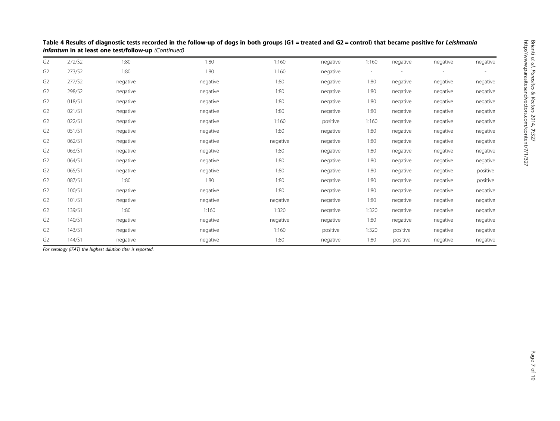| G <sub>2</sub> | 272/S2 | 1:80     | 1:80     | 1:160    | negative | 1:160                    | negative | negative | negative |
|----------------|--------|----------|----------|----------|----------|--------------------------|----------|----------|----------|
| G <sub>2</sub> | 273/S2 | 1:80     | 1:80     | 1:160    | negative | $\overline{\phantom{a}}$ |          |          |          |
| G <sub>2</sub> | 277/S2 | negative | negative | 1:80     | negative | 1:80                     | negative | negative | negative |
| G <sub>2</sub> | 298/S2 | negative | negative | 1:80     | negative | 1:80                     | negative | negative | negative |
| G <sub>2</sub> | 018/S1 | negative | negative | 1:80     | negative | 1:80                     | negative | negative | negative |
| G <sub>2</sub> | 021/S1 | negative | negative | 1:80     | negative | 1:80                     | negative | negative | negative |
| G <sub>2</sub> | 022/S1 | negative | negative | 1:160    | positive | 1:160                    | negative | negative | negative |
| G <sub>2</sub> | 051/S1 | negative | negative | 1:80     | negative | 1:80                     | negative | negative | negative |
| G <sub>2</sub> | 062/S1 | negative | negative | negative | negative | 1:80                     | negative | negative | negative |
| G <sub>2</sub> | 063/S1 | negative | negative | 1:80     | negative | 1:80                     | negative | negative | negative |
| G <sub>2</sub> | 064/S1 | negative | negative | 1:80     | negative | 1:80                     | negative | negative | negative |
| G <sub>2</sub> | 065/S1 | negative | negative | 1:80     | negative | 1:80                     | negative | negative | positive |
| G <sub>2</sub> | 087/S1 | 1:80     | 1:80     | 1:80     | negative | 1:80                     | negative | negative | positive |
| G <sub>2</sub> | 100/S1 | negative | negative | 1:80     | negative | 1:80                     | negative | negative | negative |
| G <sub>2</sub> | 101/S1 | negative | negative | negative | negative | 1:80                     | negative | negative | negative |
| G <sub>2</sub> | 139/S1 | 1:80     | 1:160    | 1:320    | negative | 1:320                    | negative | negative | negative |
| G <sub>2</sub> | 140/S1 | negative | negative | negative | negative | 1:80                     | negative | negative | negative |
| G <sub>2</sub> | 143/S1 | negative | negative | 1:160    | positive | 1:320                    | positive | negative | negative |
| G <sub>2</sub> | 144/S1 | negative | negative | 1:80     | negative | 1:80                     | positive | negative | negative |

Table 4 Results of diagnostic tests recorded in the follow-up of dogs in both groups (G1 = treated and G2 = control) that became positive for Leishmania infantum in at least one test/follow-up (Continued)

For serology (IFAT) the highest dilution titer is reported.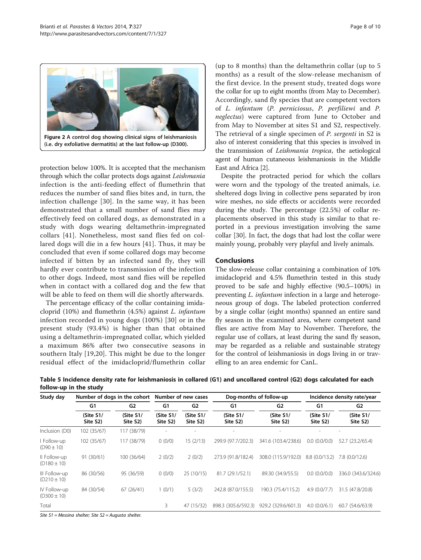<span id="page-7-0"></span>

Figure 2 A control dog showing clinical signs of leishmaniosis (i.e. dry exfoliative dermatitis) at the last follow-up (D300).

protection below 100%. It is accepted that the mechanism through which the collar protects dogs against Leishmania infection is the anti-feeding effect of flumethrin that reduces the number of sand flies bites and, in turn, the infection challenge [[30](#page-9-0)]. In the same way, it has been demonstrated that a small number of sand flies may effectively feed on collared dogs, as demonstrated in a study with dogs wearing deltamethrin-impregnated collars [[41](#page-9-0)]. Nonetheless, most sand flies fed on collared dogs will die in a few hours [[41](#page-9-0)]. Thus, it may be concluded that even if some collared dogs may become infected if bitten by an infected sand fly, they will hardly ever contribute to transmission of the infection to other dogs. Indeed, most sand flies will be repelled when in contact with a collared dog and the few that will be able to feed on them will die shortly afterwards.

The percentage efficacy of the collar containing imidacloprid (10%) and flumethrin (4.5%) against L. infantum infection recorded in young dogs (100%) [[30](#page-9-0)] or in the present study (93.4%) is higher than that obtained using a deltamethrin-impregnated collar, which yielded a maximum 86% after two consecutive seasons in southern Italy [[19,20](#page-8-0)]. This might be due to the longer residual effect of the imidacloprid/flumethrin collar

(up to 8 months) than the deltamethrin collar (up to 5 months) as a result of the slow-release mechanism of the first device. In the present study, treated dogs wore the collar for up to eight months (from May to December). Accordingly, sand fly species that are competent vectors of L. infantum (P. perniciosus, P. perfiliewi and P. neglectus) were captured from June to October and from May to November at sites S1 and S2, respectively. The retrieval of a single specimen of P. sergenti in S2 is also of interest considering that this species is involved in the transmission of Leishmania tropica, the aetiological agent of human cutaneous leishmaniosis in the Middle East and Africa [\[2](#page-8-0)].

Despite the protracted period for which the collars were worn and the typology of the treated animals, i.e. sheltered dogs living in collective pens separated by iron wire meshes, no side effects or accidents were recorded during the study. The percentage (22.5%) of collar replacements observed in this study is similar to that reported in a previous investigation involving the same collar [[30\]](#page-9-0). In fact, the dogs that had lost the collar were mainly young, probably very playful and lively animals.

# Conclusions

The slow-release collar containing a combination of 10% imidacloprid and 4.5% flumethrin tested in this study proved to be safe and highly effective (90.5–100%) in preventing L. infantum infection in a large and heterogeneous group of dogs. The labeled protection conferred by a single collar (eight months) spanned an entire sand fly season in the examined area, where competent sand flies are active from May to November. Therefore, the regular use of collars, at least during the sand fly season, may be regarded as a reliable and sustainable strategy for the control of leishmaniosis in dogs living in or travelling to an area endemic for CanL.

| Study day                        | Number of dogs in the cohort |                       | Number of new cases   |                       |                       | Dog-months of follow-up  | Incidence density rate/year |                       |
|----------------------------------|------------------------------|-----------------------|-----------------------|-----------------------|-----------------------|--------------------------|-----------------------------|-----------------------|
|                                  | G1                           | G2                    | G1                    | G <sub>2</sub>        | G1                    | G2                       | G1                          | G2                    |
|                                  | (Site S1/<br>Site S2)        | (Site S1/<br>Site S2) | (Site S1/<br>Site S2) | (Site 51/<br>Site S2) | (Site S1/<br>Site S2) | (Site S1/<br>Site S2)    | (Site S1/<br>Site S2)       | (Site S1/<br>Site S2) |
| Inclusion (D0)                   | 102 (35/67)                  | 117 (38/79)           |                       |                       | ٠                     | $\overline{\phantom{a}}$ |                             |                       |
| Follow-up<br>$(D90 \pm 10)$      | 102 (35/67)                  | 117 (38/79)           | 0(0/0)                | 15(2/13)              | 299.9 (97.7/202.3)    | 341.6 (103.4/238.6)      | 0.0(0.0/0.0)                | 52.7 (23.2/65.4)      |
| II Follow-up<br>$(D180 \pm 10)$  | 91 (30/61)                   | 100 (36/64)           | 2(0/2)                | 2(0/2)                | 273.9 (91.8/182.4)    | 308.0 (115.9/192.0)      | 8.8(0.0/13.2)               | 7.8(0.0/12.6)         |
| III Follow-up<br>$(D210 \pm 10)$ | 86 (30/56)                   | 95 (36/59)            | 0(0/0)                | 25(10/15)             | 81.7 (29.1/52.1)      | 89.30 (34.9/55.5)        | 0.0(0.0/0.0)                | 336.0 (343.6/324.6)   |
| IV Follow-up<br>$(D300 \pm 10)$  | 84 (30/54)                   | 67(26/41)             | 1(0/1)                | 5(3/2)                | 242.8 (87.0/155.5)    | 190.3 (75.4/115.2)       | 4.9(0.0/7.7)                | 31.5 (47.8/20.8)      |
| Total                            |                              |                       | 3                     | 47 (15/32)            | 898.3 (305.6/592.3)   | 929.2 (329.6/601.3)      | 4.0(0.0/6.1)                | 60.7 (54.6/63.9)      |

Table 5 Incidence density rate for leishmaniosis in collared (G1) and uncollared control (G2) dogs calculated for each follow-up in the study

Site S1 = Messina shelter; Site S2 = Augusta shelter.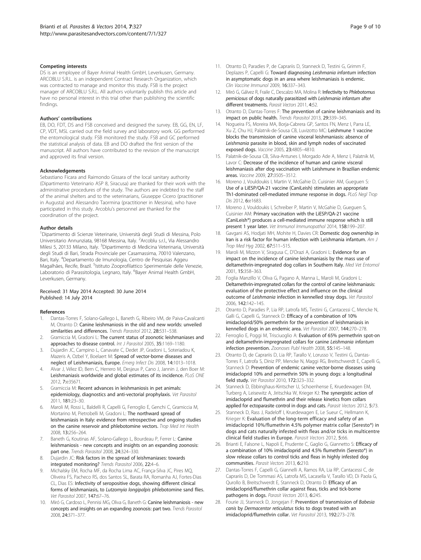#### <span id="page-8-0"></span>Competing interests

DS is an employee of Bayer Animal Health GmbH, Leverkusen, Germany. ARCOBLU S.R.L. is an independent Contract Research Organization, which was contracted to manage and monitor this study. FSB is the project manager of ARCOBLU S.R.L. All authors voluntarily publish this article and have no personal interest in this trial other than publishing the scientific findings.

#### Authors' contributions

EB, DO, FDT, DS and FSB conceived and designed the survey. EB, GG, EN, LF, CP, VDT, MSL carried out the field survey and laboratory work. GG performed the entomological study. FSB monitored the study. FSB and GC performed the statistical analysis of data. EB and DO drafted the first version of the manuscript. All authors have contributed to the revision of the manuscript and approved its final version.

#### Acknowledgements

Sebastiano Ficara and Raimondo Gissara of the local sanitary authority (Dipartimento Veterinario ASP 8, Siracusa) are thanked for their work with the administrative procedures of the study. The authors are indebted to the staff of the animal shelters and to the veterinarians, Giuseppe Cicero (practitioner in Augusta) and Alessandro Taormina (practitioner in Messina), who have participated in this study. Arcoblu's personnel are thanked for the coordination of the project.

#### Author details

<sup>1</sup>Dipartimento di Scienze Veterinarie, Università degli Studi di Messina, Polo Universitario Annunziata, 98168 Messina, Italy. <sup>2</sup>Arcoblu s.r.l., Via Alessandro Milesi 5, 20133 Milano, Italy. <sup>3</sup>Dipartimento di Medicina Veterinaria, Università degli Studi di Bari, Strada Provinciale per Casamassima, 70010 Valenzano, Bari, Italy. <sup>4</sup>Departamento de Imunologia, Centro de Pesquisas Aggeu Magalhães, Recife, Brazil. <sup>5</sup>Istituto Zooprofilattico Sperimentale delle Venezie, Laboratorio di Parassitologia, Legnaro, Italy. <sup>6</sup>Bayer Animal Health GmbH, Leverkusen, Germany.

#### Received: 31 May 2014 Accepted: 30 June 2014 Published: 14 July 2014

#### References

- 1. Dantas-Torres F, Solano-Gallego L, Baneth G, Ribeiro VM, de Paiva-Cavalcanti M, Otranto D: Canine leishmaniosis in the old and new worlds: unveiled similarities and differences. Trends Parasitol 2012, 28:531-538.
- 2. Gramiccia M, Gradoni L: The current status of zoonotic leishmaniases and approaches to disease control. Int J Parasitol 2005, 35:1169–1180.
- 3. Dujardin JC, Campino L, Canavate C, Dedet JP, Gradoni L, Soteriadou K, Mazeris A, Ozbel Y, Boelaert M: Spread of vector-borne diseases and neglect of Leishmaniasis, Europe. Emerg Infect Dis 2008, 14:1013–1018.
- 4. Alvar J, Vélez ID, Bern C, Herrero M, Desjeux P, Cano J, Jannin J, den Boer M: Leishmaniasis worldwide and global estimates of its incidence. PLoS ONE 2012, 7:e35671.
- 5. Gramiccia M: Recent advances in leishmaniosis in pet animals: epidemiology, diagnostics and anti-vectorial prophylaxis. Vet Parasitol 2011, 181:23–30.
- 6. Maroli M, Rossi L, Baldelli R, Capelli G, Ferroglio E, Genchi C, Gramiccia M, Mortarino M, Pietrobelli M, Gradoni L: The northward spread of leishmaniasis in Italy: evidence from retrospective and ongoing studies on the canine reservoir and phlebotomine vectors. Trop Med Int Health 2008, 13:256–264.
- 7. Baneth G, Koutinas AF, Solano-Gallego L, Bourdeau P, Ferrer L: Canine leishmaniosis - new concepts and insights on an expanding zoonosis: part one. Trends Parasitol 2008, 24:324-330.
- Dujardin JC: Risk factors in the spread of leishmaniases: towards integrated monitoring? Trends Parasitol 2006, 22:4–6.
- 9. Michalsky EM, Rocha MF, da Rocha Lima AC, França-Silva JC, Pires MQ, Oliveira FS, Pacheco RS, dos Santos SL, Barata RA, Romanha AJ, Fortes-Dias CL, Dias ES: Infectivity of seropositive dogs, showing different clinical forms of leishmaniasis, to Lutzomyia longipalpis phlebotomine sand flies. Vet Parasitol 2007, 147:67–76.
- 10. Miró G, Cardoso L, Pennisi MG, Oliva G, Baneth G: Canine leishmaniosis new concepts and insights on an expanding zoonosis: part two. Trends Parasitol 2008, 24:371–377.
- 11. Otranto D, Paradies P, de Caprariis D, Stanneck D, Testini G, Grimm F, Deplazes P, Capelli G: Toward diagnosing Leishmania infantum infection in asymptomatic dogs in an area where leishmaniasis is endemic. Clin Vaccine Immunol 2009, 16:337–343.
- 12. Miró G, Gálvez R, Fraile C, Descalzo MA, Molina R: Infectivity to Phlebotomus perniciosus of dogs naturally parasitized with Leishmania infantum after different treatments. Parasit Vectors 2011, 4:52.
- 13. Otranto D, Dantas-Torres F: The prevention of canine leishmaniasis and its impact on public health. Trends Parasitol 2013, 29:339–345.
- 14. Nogueira FS, Moreira MA, Borja-Cabrera GP, Santos FN, Menz I, Parra LE, Xu Z, Chu HJ, Palatnik-de-Sousa CB, Luvizotto MC: Leishmune 1 vaccine blocks the transmission of canine visceral leishmaniasis: absence of Leishmania parasite in blood, skin and lymph nodes of vaccinated exposed dogs. Vaccine 2005, 23:4805–4810.
- 15. Palatnik-de-Sousa CB, Silva-Antunes I, Morgado Ade A, Menz I, Palatnik M, Lavor C: Decrease of the incidence of human and canine visceral leishmaniasis after dog vaccination with Leishmune in Brazilian endemic areas. Vaccine 2009, 27:3505–3512.
- 16. Moreno J, Vouldoukis I, Martin V, McGahie D, Cuisinier AM, Gueguen S: Use of a LiESP/QA-21 vaccine (CaniLeish) stimulates an appropriate Th1-dominated cell-mediated immune response in dogs. PLoS Negl Trop Dis 2012, 6:e1683.
- 17. Moreno J, Vouldoukis I, Schreiber P, Martin V, McGahie D, Gueguen S, Cuisinier AM: Primary vaccination with the LiESP/QA-21 vaccine (CaniLeish®) produces a cell-mediated immune response which is still present 1 year later. Vet Immunol Immunopathol 2014, 158:199-207.
- 18. Gavgani AS, Hodjati MH, Mohite H, Davies CR: Domestic dog ownership in Iran is a risk factor for human infection with Leishmania infantum. Am J Trop Med Hyg 2002, 67:511–515.
- 19. Maroli M, Mizzon V, Siragusa C, D'Orazi A, Gradoni L: Evidence for an impact on the incidence of canine leishmaniasis by the mass use of deltamethrin-impregnated dog collars in Southern Italy. Med Vet Entomol 2001, 15:358–363.
- 20. Foglia Manzillo V, Oliva G, Pagano A, Manna L, Maroli M, Gradoni L: Deltamethrin-impregnated collars for the control of canine leishmaniasis: evaluation of the protective effect and influence on the clinical outcome of Leishmania infection in kennelled stray dogs. Vet Parasitol 2006, 142:142–145.
- 21. Otranto D, Paradies P, Lia RP, Latrofa MS, Testini G, Cantacessi C, Mencke N, Galli G, Capelli G, Stanneck D: Efficacy of a combination of 10% imidacloprid/50% permethrin for the prevention of leishmaniasis in kennelled dogs in an endemic area. Vet Parasitol 2007, 144:270–278.
- 22. Ferroglio E, Poggi M, Trisciuoglio A: Evaluation of 65% permethrin spot-on and deltamethrin-impregnated collars for canine Leishmania infantum infection prevention. Zoonoses Publ Health 2008, 55:145–148.
- 23. Otranto D, de Caprariis D, Lia RP, Tarallo V, Lorusso V, Testini G, Dantas-Torres F, Latrofa S, Diniz PP, Mencke N, Maggi RG, Breitschwerdt E, Capelli G, Stanneck D: Prevention of endemic canine vector-borne diseases using imidacloprid 10% and permethrin 50% in young dogs: a longitudinal field study. Vet Parasitol 2010, 172:323–332.
- 24. Stanneck D, Ebbinghaus-Kintscher U, Schoenhense E, Kruedewagen EM, Turberg A, Leisewitz A, Jiritschka W, Krieger KJ: The synergistic action of imidacloprid and flumethrin and their release kinetics from collars applied for ectoparasite control in dogs and cats. Parasit Vectors 2012, 5:73.
- 25. Stanneck D, Rass J, Radeloff I, Kruedewagen E, Le Sueur C, Hellmann K, Krieger K: Evaluation of the long-term efficacy and safety of an imidacloprid 10%/flumethrin 4.5% polymer matrix collar (Seresto®) in dogs and cats naturally infested with fleas and/or ticks in multicentre clinical field studies in Europe. Parasit Vectors 2012, 5:66.
- 26. Brianti E, Falsone L, Napoli E, Prudente C, Gaglio G, Giannetto S: Efficacy of a combination of 10% imidacloprid and 4.5% flumethrin (Seresto®) in slow release collars to control ticks and fleas in highly infested dog communities. Parasit Vectors 2013, 6:210.
- 27. Dantas-Torres F, Capelli G, Giannelli A, Ramos RA, Lia RP, Cantacessi C, de Caprariis D, De Tommasi AS, Latrofa MS, Lacasella V, Tarallo VD, Di Paola G, Qurollo B, Breitschwerdt E, Stanneck D, Otranto D: Efficacy of an imidacloprid/flumethrin collar against fleas, ticks and tick-borne pathogens in dogs. Parasit Vectors 2013, 6:245.
- 28. Fourie JJ, Stanneck D, Jongejan F: Prevention of transmission of Babesia canis by Dermacentor reticulatus ticks to dogs treated with an imidacloprid/flumethrin collar. Vet Parasitol 2013, 192:273–278.